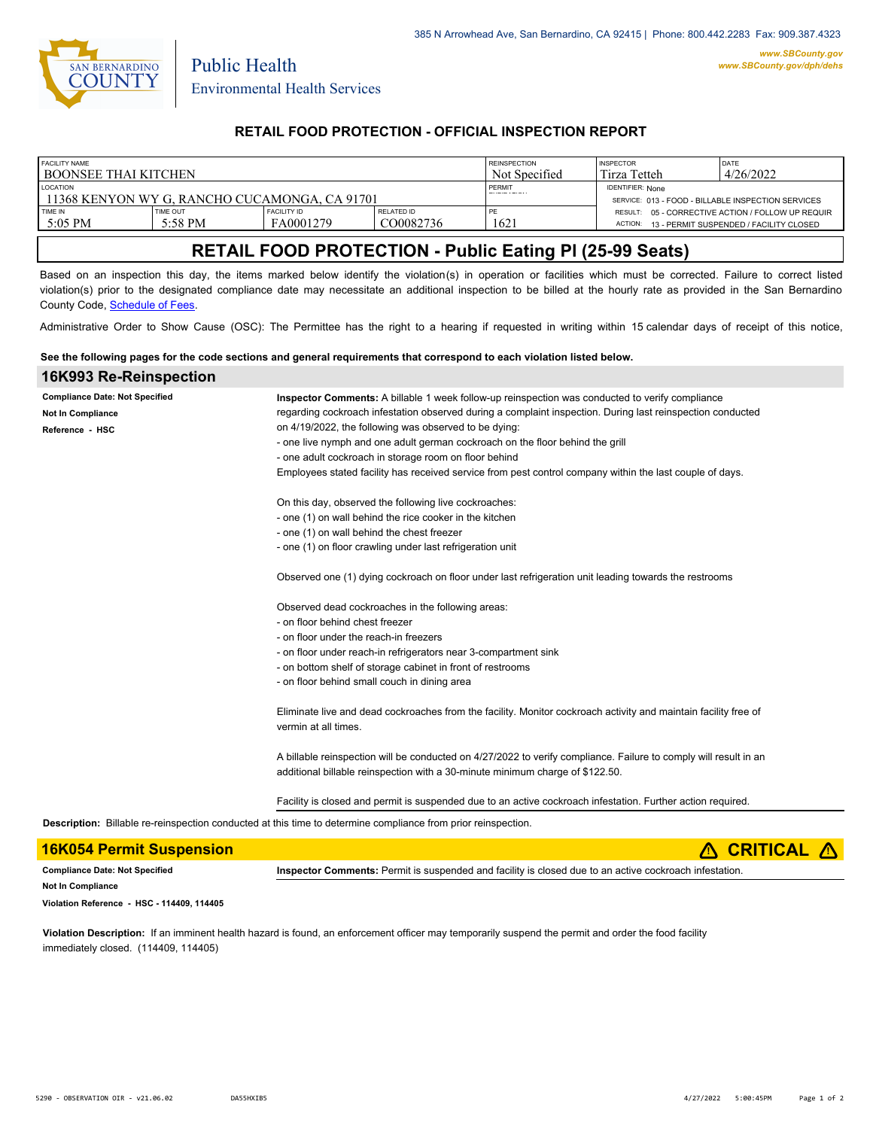

Public Health

## **RETAIL FOOD PROTECTION - OFFICIAL INSPECTION REPORT**

| <b>FACILITY NAME</b>                          |          |                    |            | <b>REINSPECTION</b>     | <b>INSPECTOR</b>                                   | DATE                                              |
|-----------------------------------------------|----------|--------------------|------------|-------------------------|----------------------------------------------------|---------------------------------------------------|
| l BOONSEE THAI KITCHEN                        |          |                    |            | Not Specified           | Tirza Tetteh                                       | 4/26/2022                                         |
| <b>LOCATION</b>                               |          |                    | PERMIT     | <b>IDENTIFIER: None</b> |                                                    |                                                   |
| 11368 KENYON WY G. RANCHO CUCAMONGA, CA 91701 |          |                    |            |                         | SERVICE: 013 - FOOD - BILLABLE INSPECTION SERVICES |                                                   |
| TIME IN                                       | TIME OUT | <b>FACILITY ID</b> | RELATED ID | PE                      |                                                    | RESULT: 05 - CORRECTIVE ACTION / FOLLOW UP REQUIR |
| 5:05 PM                                       | 5:58 PM  | FA0001279          | CO0082736  | 1621                    | ACTION:                                            | 13 - PERMIT SUSPENDED / FACILITY CLOSED           |
|                                               |          |                    |            |                         |                                                    |                                                   |

# **RETAIL FOOD PROTECTION - Public Eating Pl (25-99 Seats)**

Based on an inspection this day, the items marked below identify the violation(s) in operation or facilities which must be corrected. Failure to correct listed violation(s) prior to the designated compliance date may necessitate an additional inspection to be billed at the hourly rate as provided in the San Bernardino County Code, Schedule of Fees.

Administrative Order to Show Cause (OSC): The Permittee has the right to a hearing if requested in writing within 15 calendar days of receipt of this notice,

#### **See the following pages for the code sections and general requirements that correspond to each violation listed below.**

| 16K993 Re-Reinspection                |                                                                                                                  |  |  |  |
|---------------------------------------|------------------------------------------------------------------------------------------------------------------|--|--|--|
| <b>Compliance Date: Not Specified</b> | Inspector Comments: A billable 1 week follow-up reinspection was conducted to verify compliance                  |  |  |  |
| Not In Compliance                     | regarding cockroach infestation observed during a complaint inspection. During last reinspection conducted       |  |  |  |
| Reference - HSC                       | on 4/19/2022, the following was observed to be dying:                                                            |  |  |  |
|                                       | - one live nymph and one adult german cockroach on the floor behind the grill                                    |  |  |  |
|                                       | - one adult cockroach in storage room on floor behind                                                            |  |  |  |
|                                       | Employees stated facility has received service from pest control company within the last couple of days.         |  |  |  |
|                                       | On this day, observed the following live cockroaches:                                                            |  |  |  |
|                                       | - one (1) on wall behind the rice cooker in the kitchen                                                          |  |  |  |
|                                       | - one (1) on wall behind the chest freezer                                                                       |  |  |  |
|                                       | - one (1) on floor crawling under last refrigeration unit                                                        |  |  |  |
|                                       | Observed one (1) dying cockroach on floor under last refrigeration unit leading towards the restrooms            |  |  |  |
|                                       | Observed dead cockroaches in the following areas:                                                                |  |  |  |
|                                       | - on floor behind chest freezer                                                                                  |  |  |  |
|                                       | - on floor under the reach-in freezers                                                                           |  |  |  |
|                                       | - on floor under reach-in refrigerators near 3-compartment sink                                                  |  |  |  |
|                                       | - on bottom shelf of storage cabinet in front of restrooms                                                       |  |  |  |
|                                       | - on floor behind small couch in dining area                                                                     |  |  |  |
|                                       | Eliminate live and dead cockroaches from the facility. Monitor cockroach activity and maintain facility free of  |  |  |  |
|                                       | vermin at all times.                                                                                             |  |  |  |
|                                       | A billable reinspection will be conducted on 4/27/2022 to verify compliance. Failure to comply will result in an |  |  |  |
|                                       | additional billable reinspection with a 30-minute minimum charge of \$122.50.                                    |  |  |  |
|                                       | Facility is closed and permit is suspended due to an active cockroach infestation. Further action required.      |  |  |  |

**Description:** Billable re-reinspection conducted at this time to determine compliance from prior reinspection.

| <b>16K054 Permit Suspension</b>            | $\triangle$ CRITICAL $\triangle$                                                                       |  |  |
|--------------------------------------------|--------------------------------------------------------------------------------------------------------|--|--|
| <b>Compliance Date: Not Specified</b>      | Inspector Comments: Permit is suspended and facility is closed due to an active cockroach infestation. |  |  |
| <b>Not In Compliance</b>                   |                                                                                                        |  |  |
| Violation Reference - HSC - 114409, 114405 |                                                                                                        |  |  |

**Violation Description:** If an imminent health hazard is found, an enforcement officer may temporarily suspend the permit and order the food facility immediately closed. (114409, 114405)